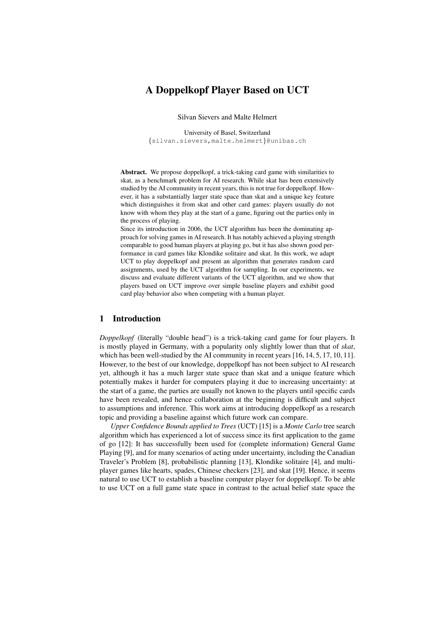# A Doppelkopf Player Based on UCT

Silvan Sievers and Malte Helmert

University of Basel, Switzerland {silvan.sievers,malte.helmert}@unibas.ch

Abstract. We propose doppelkopf, a trick-taking card game with similarities to skat, as a benchmark problem for AI research. While skat has been extensively studied by the AI community in recent years, this is not true for doppelkopf. However, it has a substantially larger state space than skat and a unique key feature which distinguishes it from skat and other card games: players usually do not know with whom they play at the start of a game, figuring out the parties only in the process of playing.

Since its introduction in 2006, the UCT algorithm has been the dominating approach for solving games in AI research. It has notably achieved a playing strength comparable to good human players at playing go, but it has also shown good performance in card games like Klondike solitaire and skat. In this work, we adapt UCT to play doppelkopf and present an algorithm that generates random card assignments, used by the UCT algorithm for sampling. In our experiments, we discuss and evaluate different variants of the UCT algorithm, and we show that players based on UCT improve over simple baseline players and exhibit good card play behavior also when competing with a human player.

# 1 Introduction

*Doppelkopf* (literally "double head") is a trick-taking card game for four players. It is mostly played in Germany, with a popularity only slightly lower than that of *skat*, which has been well-studied by the AI community in recent years [16, 14, 5, 17, 10, 11]. However, to the best of our knowledge, doppelkopf has not been subject to AI research yet, although it has a much larger state space than skat and a unique feature which potentially makes it harder for computers playing it due to increasing uncertainty: at the start of a game, the parties are usually not known to the players until specific cards have been revealed, and hence collaboration at the beginning is difficult and subject to assumptions and inference. This work aims at introducing doppelkopf as a research topic and providing a baseline against which future work can compare.

*Upper Confidence Bounds applied to Trees* (UCT) [15] is a *Monte Carlo* tree search algorithm which has experienced a lot of success since its first application to the game of go [12]: It has successfully been used for (complete information) General Game Playing [9], and for many scenarios of acting under uncertainty, including the Canadian Traveler's Problem [8], probabilistic planning [13], Klondike solitaire [4], and multiplayer games like hearts, spades, Chinese checkers [23], and skat [19]. Hence, it seems natural to use UCT to establish a baseline computer player for doppelkopf. To be able to use UCT on a full game state space in contrast to the actual belief state space the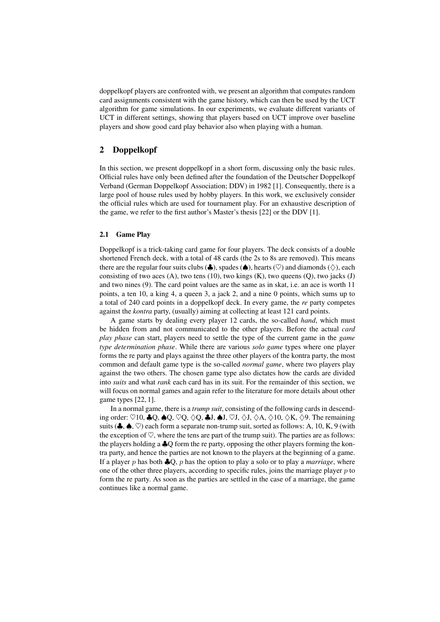doppelkopf players are confronted with, we present an algorithm that computes random card assignments consistent with the game history, which can then be used by the UCT algorithm for game simulations. In our experiments, we evaluate different variants of UCT in different settings, showing that players based on UCT improve over baseline players and show good card play behavior also when playing with a human.

# 2 Doppelkopf

In this section, we present doppelkopf in a short form, discussing only the basic rules. Official rules have only been defined after the foundation of the Deutscher Doppelkopf Verband (German Doppelkopf Association; DDV) in 1982 [1]. Consequently, there is a large pool of house rules used by hobby players. In this work, we exclusively consider the official rules which are used for tournament play. For an exhaustive description of the game, we refer to the first author's Master's thesis [22] or the DDV [1].

### 2.1 Game Play

Doppelkopf is a trick-taking card game for four players. The deck consists of a double shortened French deck, with a total of 48 cards (the 2s to 8s are removed). This means there are the regular four suits clubs ( $\clubsuit$ ), spades ( $\spadesuit$ ), hearts ( $\heartsuit$ ) and diamonds ( $\diamondsuit$ ), each consisting of two aces  $(A)$ , two tens  $(10)$ , two kings  $(K)$ , two queens  $(Q)$ , two jacks  $(J)$ and two nines (9). The card point values are the same as in skat, i.e. an ace is worth 11 points, a ten 10, a king 4, a queen 3, a jack 2, and a nine 0 points, which sums up to a total of 240 card points in a doppelkopf deck. In every game, the *re* party competes against the *kontra* party, (usually) aiming at collecting at least 121 card points.

A game starts by dealing every player 12 cards, the so-called *hand*, which must be hidden from and not communicated to the other players. Before the actual *card play phase* can start, players need to settle the type of the current game in the *game type determination phase*. While there are various *solo game* types where one player forms the re party and plays against the three other players of the kontra party, the most common and default game type is the so-called *normal game*, where two players play against the two others. The chosen game type also dictates how the cards are divided into *suits* and what *rank* each card has in its suit. For the remainder of this section, we will focus on normal games and again refer to the literature for more details about other game types [22, 1].

In a normal game, there is a *trump suit*, consisting of the following cards in descending order:  $\heartsuit$ 10,  $\clubsuit$ Q,  $\spadesuit$ Q,  $\heartsuit$ Q,  $\diamondsuit$ Q,  $\clubsuit$ J,  $\spadesuit$ J,  $\heartsuit$ J,  $\diamondsuit$ J,  $\diamondsuit$ A,  $\diamondsuit$ 10,  $\diamondsuit$ K,  $\diamondsuit$ 9. The remaining suits ( $\clubsuit$ ,  $\spadesuit$ ,  $\heartsuit$ ) each form a separate non-trump suit, sorted as follows: A, 10, K, 9 (with the exception of  $\heartsuit$ , where the tens are part of the trump suit). The parties are as follows: the players holding a ♣Q form the re party, opposing the other players forming the kontra party, and hence the parties are not known to the players at the beginning of a game. If a player p has both  $\clubsuit Q$ , p has the option to play a solo or to play a *marriage*, where one of the other three players, according to specific rules, joins the marriage player  $p$  to form the re party. As soon as the parties are settled in the case of a marriage, the game continues like a normal game.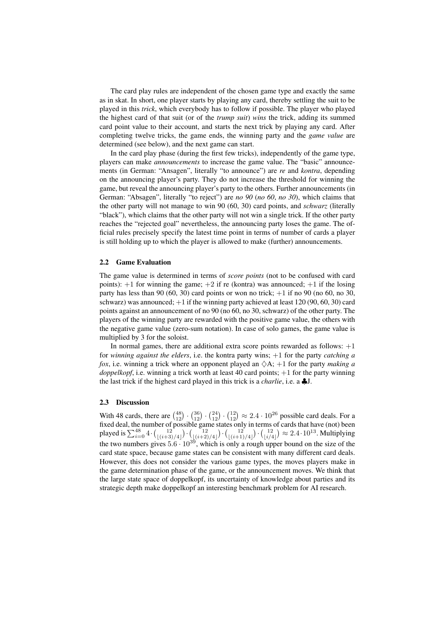The card play rules are independent of the chosen game type and exactly the same as in skat. In short, one player starts by playing any card, thereby settling the suit to be played in this *trick*, which everybody has to follow if possible. The player who played the highest card of that suit (or of the *trump suit*) *wins* the trick, adding its summed card point value to their account, and starts the next trick by playing any card. After completing twelve tricks, the game ends, the winning party and the *game value* are determined (see below), and the next game can start.

In the card play phase (during the first few tricks), independently of the game type, players can make *announcements* to increase the game value. The "basic" announcements (in German: "Ansagen", literally "to announce") are *re* and *kontra*, depending on the announcing player's party. They do not increase the threshold for winning the game, but reveal the announcing player's party to the others. Further announcements (in German: "Absagen", literally "to reject") are *no 90* (*no 60*, *no 30*), which claims that the other party will not manage to win 90 (60, 30) card points, and *schwarz* (literally "black"), which claims that the other party will not win a single trick. If the other party reaches the "rejected goal" nevertheless, the announcing party loses the game. The official rules precisely specify the latest time point in terms of number of cards a player is still holding up to which the player is allowed to make (further) announcements.

### 2.2 Game Evaluation

The game value is determined in terms of *score points* (not to be confused with card points):  $+1$  for winning the game;  $+2$  if re (kontra) was announced;  $+1$  if the losing party has less than 90 (60, 30) card points or won no trick;  $+1$  if no 90 (no 60, no 30, schwarz) was announced;  $+1$  if the winning party achieved at least 120 (90, 60, 30) card points against an announcement of no 90 (no 60, no 30, schwarz) of the other party. The players of the winning party are rewarded with the positive game value, the others with the negative game value (zero-sum notation). In case of solo games, the game value is multiplied by 3 for the soloist.

In normal games, there are additional extra score points rewarded as follows:  $+1$ for *winning against the elders*, i.e. the kontra party wins; +1 for the party *catching a fox*, i.e. winning a trick where an opponent played an  $\Diamond A$ ; +1 for the party *making a doppelkopf*, i.e. winning a trick worth at least 40 card points;  $+1$  for the party winning the last trick if the highest card played in this trick is a *charlie*, i.e. a ♣J.

### 2.3 Discussion

With 48 cards, there are  $\binom{48}{12} \cdot \binom{36}{12} \cdot \binom{24}{12} \approx 2.4 \cdot 10^{26}$  possible card deals. For a fixed deal, the number of possible game states only in terms of cards that have (not) been played is  $\sum_{i=0}^{48} 4 \cdot \binom{12}{\lfloor (i+3)/4 \rfloor} \cdot \binom{12}{\lfloor (i+2)/4 \rfloor} \cdot \binom{12}{\lfloor (i+1)/4 \rfloor} \cdot \binom{12}{\lfloor i/4 \rfloor} \approx 2.4 \cdot 10^{13}$ . Multiplying the two numbers gives  $5.6 \cdot 10^{39}$ , which is only a rough upper bound on the size of the card state space, because game states can be consistent with many different card deals. However, this does not consider the various game types, the moves players make in the game determination phase of the game, or the announcement moves. We think that the large state space of doppelkopf, its uncertainty of knowledge about parties and its strategic depth make doppelkopf an interesting benchmark problem for AI research.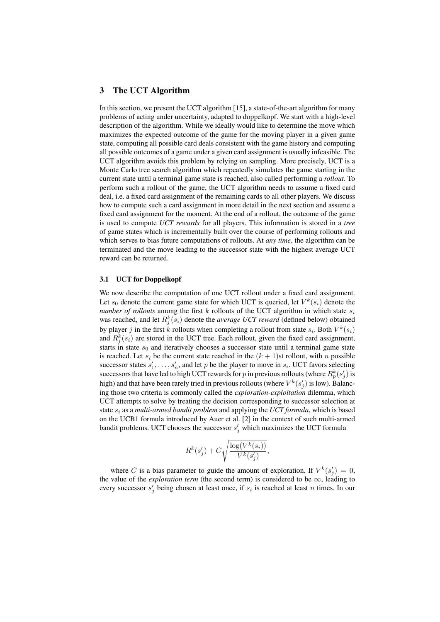# 3 The UCT Algorithm

In this section, we present the UCT algorithm [15], a state-of-the-art algorithm for many problems of acting under uncertainty, adapted to doppelkopf. We start with a high-level description of the algorithm. While we ideally would like to determine the move which maximizes the expected outcome of the game for the moving player in a given game state, computing all possible card deals consistent with the game history and computing all possible outcomes of a game under a given card assignment is usually infeasible. The UCT algorithm avoids this problem by relying on sampling. More precisely, UCT is a Monte Carlo tree search algorithm which repeatedly simulates the game starting in the current state until a terminal game state is reached, also called performing a *rollout*. To perform such a rollout of the game, the UCT algorithm needs to assume a fixed card deal, i.e. a fixed card assignment of the remaining cards to all other players. We discuss how to compute such a card assignment in more detail in the next section and assume a fixed card assignment for the moment. At the end of a rollout, the outcome of the game is used to compute *UCT rewards* for all players. This information is stored in a *tree* of game states which is incrementally built over the course of performing rollouts and which serves to bias future computations of rollouts. At *any time*, the algorithm can be terminated and the move leading to the successor state with the highest average UCT reward can be returned.

### 3.1 UCT for Doppelkopf

We now describe the computation of one UCT rollout under a fixed card assignment. Let  $s_0$  denote the current game state for which UCT is queried, let  $V^k(s_i)$  denote the *number of rollouts* among the first  $k$  rollouts of the UCT algorithm in which state  $s_i$ was reached, and let  $R_j^k(s_i)$  denote the *average UCT reward* (defined below) obtained by player j in the first k rollouts when completing a rollout from state  $s_i$ . Both  $V^k(s_i)$ and  $R_j^k(s_i)$  are stored in the UCT tree. Each rollout, given the fixed card assignment, starts in state  $s_0$  and iteratively chooses a successor state until a terminal game state is reached. Let  $s_i$  be the current state reached in the  $(k + 1)$ st rollout, with n possible successor states  $s'_1, \ldots, s'_n$ , and let p be the player to move in  $s_i$ . UCT favors selecting successors that have led to high UCT rewards for p in previous rollouts (where  $R_p^k(s'_j)$  is high) and that have been rarely tried in previous rollouts (where  $V^k(s'_j)$  is low). Balancing those two criteria is commonly called the *exploration-exploitation* dilemma, which UCT attempts to solve by treating the decision corresponding to successor selection at state s<sup>i</sup> as a *multi-armed bandit problem* and applying the *UCT formula*, which is based on the UCB1 formula introduced by Auer et al. [2] in the context of such multi-armed bandit problems. UCT chooses the successor  $s'_{j}$  which maximizes the UCT formula

$$
R^k(s'_j) + C\sqrt{\frac{\log(V^k(s_i))}{V^k(s'_j)}},
$$

where C is a bias parameter to guide the amount of exploration. If  $V^k(s'_j) = 0$ , the value of the *exploration term* (the second term) is considered to be  $\infty$ , leading to every successor  $s'_j$  being chosen at least once, if  $s_i$  is reached at least n times. In our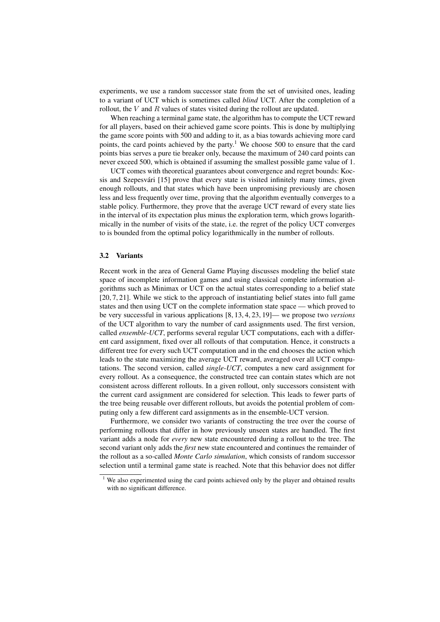experiments, we use a random successor state from the set of unvisited ones, leading to a variant of UCT which is sometimes called *blind* UCT. After the completion of a rollout, the  $V$  and  $R$  values of states visited during the rollout are updated.

When reaching a terminal game state, the algorithm has to compute the UCT reward for all players, based on their achieved game score points. This is done by multiplying the game score points with 500 and adding to it, as a bias towards achieving more card points, the card points achieved by the party.<sup>1</sup> We choose 500 to ensure that the card points bias serves a pure tie breaker only, because the maximum of 240 card points can never exceed 500, which is obtained if assuming the smallest possible game value of 1.

UCT comes with theoretical guarantees about convergence and regret bounds: Kocsis and Szepesvári [15] prove that every state is visited infinitely many times, given enough rollouts, and that states which have been unpromising previously are chosen less and less frequently over time, proving that the algorithm eventually converges to a stable policy. Furthermore, they prove that the average UCT reward of every state lies in the interval of its expectation plus minus the exploration term, which grows logarithmically in the number of visits of the state, i.e. the regret of the policy UCT converges to is bounded from the optimal policy logarithmically in the number of rollouts.

# 3.2 Variants

Recent work in the area of General Game Playing discusses modeling the belief state space of incomplete information games and using classical complete information algorithms such as Minimax or UCT on the actual states corresponding to a belief state [20, 7, 21]. While we stick to the approach of instantiating belief states into full game states and then using UCT on the complete information state space — which proved to be very successful in various applications [8, 13, 4, 23, 19]— we propose two *versions* of the UCT algorithm to vary the number of card assignments used. The first version, called *ensemble-UCT*, performs several regular UCT computations, each with a different card assignment, fixed over all rollouts of that computation. Hence, it constructs a different tree for every such UCT computation and in the end chooses the action which leads to the state maximizing the average UCT reward, averaged over all UCT computations. The second version, called *single-UCT*, computes a new card assignment for every rollout. As a consequence, the constructed tree can contain states which are not consistent across different rollouts. In a given rollout, only successors consistent with the current card assignment are considered for selection. This leads to fewer parts of the tree being reusable over different rollouts, but avoids the potential problem of computing only a few different card assignments as in the ensemble-UCT version.

Furthermore, we consider two variants of constructing the tree over the course of performing rollouts that differ in how previously unseen states are handled. The first variant adds a node for *every* new state encountered during a rollout to the tree. The second variant only adds the *first* new state encountered and continues the remainder of the rollout as a so-called *Monte Carlo simulation*, which consists of random successor selection until a terminal game state is reached. Note that this behavior does not differ

 $1$  We also experimented using the card points achieved only by the player and obtained results with no significant difference.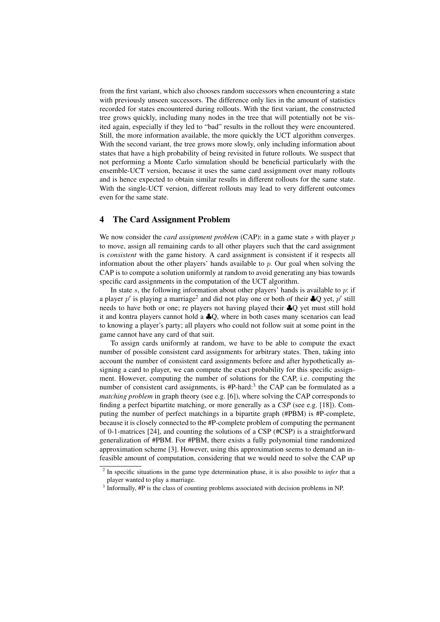from the first variant, which also chooses random successors when encountering a state with previously unseen successors. The difference only lies in the amount of statistics recorded for states encountered during rollouts. With the first variant, the constructed tree grows quickly, including many nodes in the tree that will potentially not be visited again, especially if they led to "bad" results in the rollout they were encountered. Still, the more information available, the more quickly the UCT algorithm converges. With the second variant, the tree grows more slowly, only including information about states that have a high probability of being revisited in future rollouts. We suspect that not performing a Monte Carlo simulation should be beneficial particularly with the ensemble-UCT version, because it uses the same card assignment over many rollouts and is hence expected to obtain similar results in different rollouts for the same state. With the single-UCT version, different rollouts may lead to very different outcomes even for the same state.

# 4 The Card Assignment Problem

We now consider the *card assignment problem* (CAP): in a game state s with player p to move, assign all remaining cards to all other players such that the card assignment is *consistent* with the game history. A card assignment is consistent if it respects all information about the other players' hands available to p. Our goal when solving the CAP is to compute a solution uniformly at random to avoid generating any bias towards specific card assignments in the computation of the UCT algorithm.

In state s, the following information about other players' hands is available to  $v$ : if a player p' is playing a marriage<sup>2</sup> and did not play one or both of their  $\clubsuit Q$  yet, p' still needs to have both or one; re players not having played their ♣Q yet must still hold it and kontra players cannot hold a ♣Q, where in both cases many scenarios can lead to knowing a player's party; all players who could not follow suit at some point in the game cannot have any card of that suit.

To assign cards uniformly at random, we have to be able to compute the exact number of possible consistent card assignments for arbitrary states. Then, taking into account the number of consistent card assignments before and after hypothetically assigning a card to player, we can compute the exact probability for this specific assignment. However, computing the number of solutions for the CAP, i.e. computing the number of consistent card assignments, is #P-hard:<sup>3</sup> the CAP can be formulated as a *matching problem* in graph theory (see e.g. [6]), where solving the CAP corresponds to finding a perfect bipartite matching, or more generally as a *CSP* (see e.g. [18]). Computing the number of perfect matchings in a bipartite graph (#PBM) is #P-complete, because it is closely connected to the #P-complete problem of computing the permanent of 0-1-matrices [24], and counting the solutions of a CSP (#CSP) is a straightforward generalization of #PBM. For #PBM, there exists a fully polynomial time randomized approximation scheme [3]. However, using this approximation seems to demand an infeasible amount of computation, considering that we would need to solve the CAP up

<sup>2</sup> In specific situations in the game type determination phase, it is also possible to *infer* that a player wanted to play a marriage.

<sup>&</sup>lt;sup>3</sup> Informally, #P is the class of counting problems associated with decision problems in NP.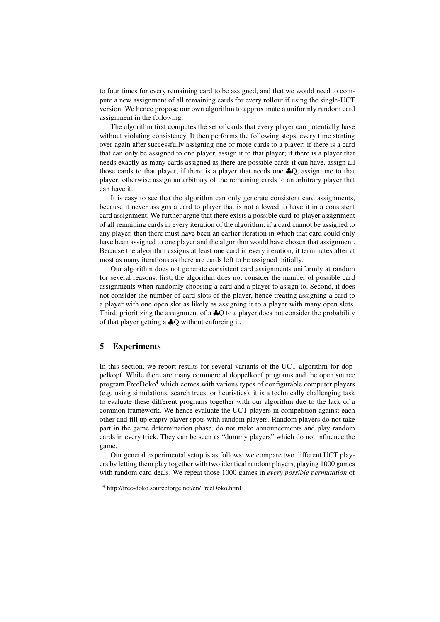to four times for every remaining card to be assigned, and that we would need to compute a new assignment of all remaining cards for every rollout if using the single-UCT version. We hence propose our own algorithm to approximate a uniformly random card assignment in the following.

The algorithm first computes the set of cards that every player can potentially have without violating consistency. It then performs the following steps, every time starting over again after successfully assigning one or more cards to a player: if there is a card that can only be assigned to one player, assign it to that player; if there is a player that needs exactly as many cards assigned as there are possible cards it can have, assign all those cards to that player; if there is a player that needs one ♣Q, assign one to that player; otherwise assign an arbitrary of the remaining cards to an arbitrary player that can have it.

It is easy to see that the algorithm can only generate consistent card assignments, because it never assigns a card to player that is not allowed to have it in a consistent card assignment. We further argue that there exists a possible card-to-player assignment of all remaining cards in every iteration of the algorithm: if a card cannot be assigned to any player, then there must have been an earlier iteration in which that card could only have been assigned to one player and the algorithm would have chosen that assignment. Because the algorithm assigns at least one card in every iteration, it terminates after at most as many iterations as there are cards left to be assigned initially.

Our algorithm does not generate consistent card assignments uniformly at random for several reasons: first, the algorithm does not consider the number of possible card assignments when randomly choosing a card and a player to assign to. Second, it does not consider the number of card slots of the player, hence treating assigning a card to a player with one open slot as likely as assigning it to a player with many open slots. Third, prioritizing the assignment of a  $\clubsuit$ Q to a player does not consider the probability of that player getting a ♣Q without enforcing it.

# 5 Experiments

In this section, we report results for several variants of the UCT algorithm for doppelkopf. While there are many commercial doppelkopf programs and the open source program FreeDoko<sup>4</sup> which comes with various types of configurable computer players (e.g. using simulations, search trees, or heuristics), it is a technically challenging task to evaluate these different programs together with our algorithm due to the lack of a common framework. We hence evaluate the UCT players in competition against each other and fill up empty player spots with random players. Random players do not take part in the game determination phase, do not make announcements and play random cards in every trick. They can be seen as "dummy players" which do not influence the game.

Our general experimental setup is as follows: we compare two different UCT players by letting them play together with two identical random players, playing 1000 games with random card deals. We repeat those 1000 games in *every possible permutation* of

<sup>4</sup> http://free-doko.sourceforge.net/en/FreeDoko.html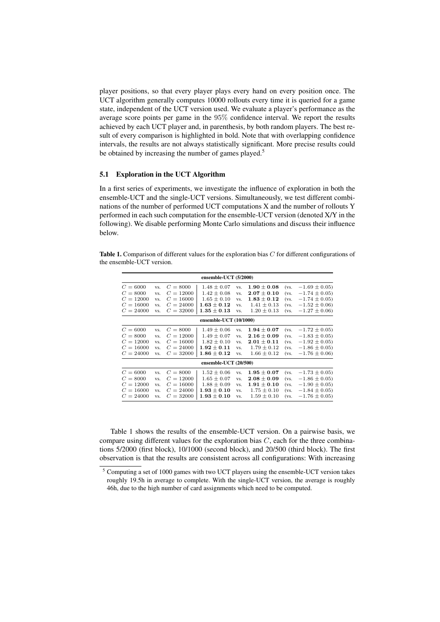player positions, so that every player plays every hand on every position once. The UCT algorithm generally computes 10000 rollouts every time it is queried for a game state, independent of the UCT version used. We evaluate a player's performance as the average score points per game in the 95% confidence interval. We report the results achieved by each UCT player and, in parenthesis, by both random players. The best result of every comparison is highlighted in bold. Note that with overlapping confidence intervals, the results are not always statistically significant. More precise results could be obtained by increasing the number of games played.<sup>5</sup>

# 5.1 Exploration in the UCT Algorithm

In a first series of experiments, we investigate the influence of exploration in both the ensemble-UCT and the single-UCT versions. Simultaneously, we test different combinations of the number of performed UCT computations X and the number of rollouts Y performed in each such computation for the ensemble-UCT version (denoted X/Y in the following). We disable performing Monte Carlo simulations and discuss their influence below.

Table 1. Comparison of different values for the exploration bias  $C$  for different configurations of the ensemble-UCT version.

| ensemble-UCT (5/2000)  |     |             |                 |     |                 |          |                  |  |  |
|------------------------|-----|-------------|-----------------|-----|-----------------|----------|------------------|--|--|
| $C = 6000$             | VS. | $C = 8000$  | $1.48 \pm 0.07$ | VS. | $1.90\pm0.08$   | (vs.     | $-1.69 \pm 0.05$ |  |  |
| $C = 8000$             | VS. | $C = 12000$ | $1.42 \pm 0.08$ | VS. | $2.07 \pm 0.10$ | $(vs)$ . | $-1.74 \pm 0.05$ |  |  |
| $C = 12000$            | VS. | $C = 16000$ | $1.65 \pm 0.10$ | VS. | $1.83\pm0.12$   | (vs.     | $-1.74 \pm 0.05$ |  |  |
| $C = 16000$            | VS. | $C = 24000$ | $1.63\pm0.12$   | VS. | $1.41 \pm 0.13$ | (vs.     | $-1.52 \pm 0.06$ |  |  |
| $C = 24000$            | VS. | $C = 32000$ | $1.35\pm0.13$   | VS. | $1.20 \pm 0.13$ | (vs.     | $-1.27 \pm 0.06$ |  |  |
| ensemble-UCT (10/1000) |     |             |                 |     |                 |          |                  |  |  |
| $C = 6000$             | VS. | $C = 8000$  | $1.49 \pm 0.06$ | VS. | $1.94 \pm 0.07$ | (vs.     | $-1.72 \pm 0.05$ |  |  |
| $C = 8000$             | VS. | $C = 12000$ | $1.49 \pm 0.07$ | VS. | $2.16 \pm 0.09$ | (vs.     | $-1.83 \pm 0.05$ |  |  |
| $C = 12000$            | VS. | $C = 16000$ | $1.82 \pm 0.10$ | VS. | $2.01 \pm 0.11$ | (vs.     | $-1.92 \pm 0.05$ |  |  |
| $C = 16000$            | VS. | $C = 24000$ | $1.92 \pm 0.11$ | VS. | $1.79 \pm 0.12$ | (vs.     | $-1.86 \pm 0.05$ |  |  |
| $C = 24000$            | VS. | $C = 32000$ | $1.86 \pm 0.12$ | VS. | $1.66 \pm 0.12$ | (vs.     | $-1.76 \pm 0.06$ |  |  |
| ensemble-UCT (20/500)  |     |             |                 |     |                 |          |                  |  |  |
| $C = 6000$             | VS. | $C = 8000$  | $1.52 \pm 0.06$ | VS. | $1.95\pm0.07$   | (vs.     | $-1.73 \pm 0.05$ |  |  |
| $C = 8000$             | VS. | $C = 12000$ | $1.65 \pm 0.07$ | VS. | $2.08 \pm 0.09$ | (vs.     | $-1.86 \pm 0.05$ |  |  |
| $C = 12000$            | VS. | $C = 16000$ | $1.88 \pm 0.09$ | VS. | $1.91 \pm 0.10$ | (vs.     | $-1.90 \pm 0.05$ |  |  |
| $C = 16000$            | VS. | $C = 24000$ | $1.93 \pm 0.10$ | VS. | $1.75 \pm 0.10$ | (vs.     | $-1.84 \pm 0.05$ |  |  |
| $C = 24000$            | VS. | $C = 32000$ | $1.93 \pm 0.10$ | VS. | $1.59 \pm 0.10$ | (vs.     | $-1.76 \pm 0.05$ |  |  |

Table 1 shows the results of the ensemble-UCT version. On a pairwise basis, we compare using different values for the exploration bias  $C$ , each for the three combinations 5/2000 (first block), 10/1000 (second block), and 20/500 (third block). The first observation is that the results are consistent across all configurations: With increasing

<sup>&</sup>lt;sup>5</sup> Computing a set of 1000 games with two UCT players using the ensemble-UCT version takes roughly 19.5h in average to complete. With the single-UCT version, the average is roughly 46h, due to the high number of card assignments which need to be computed.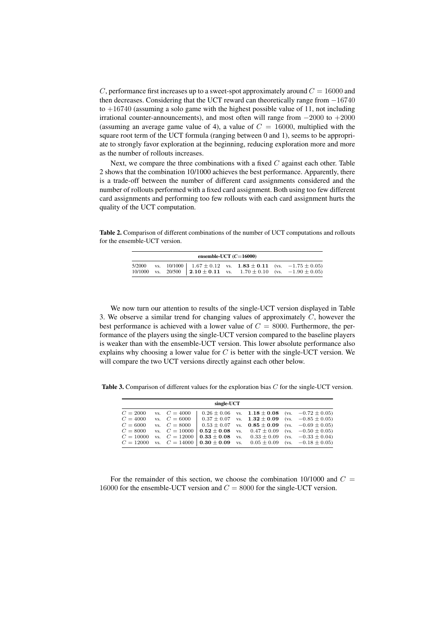C, performance first increases up to a sweet-spot approximately around  $C = 16000$  and then decreases. Considering that the UCT reward can theoretically range from −16740 to  $+16740$  (assuming a solo game with the highest possible value of 11, not including irrational counter-announcements), and most often will range from  $-2000$  to  $+2000$ (assuming an average game value of 4), a value of  $C = 16000$ , multiplied with the square root term of the UCT formula (ranging between 0 and 1), seems to be appropriate to strongly favor exploration at the beginning, reducing exploration more and more as the number of rollouts increases.

Next, we compare the three combinations with a fixed  $C$  against each other. Table 2 shows that the combination 10/1000 achieves the best performance. Apparently, there is a trade-off between the number of different card assignments considered and the number of rollouts performed with a fixed card assignment. Both using too few different card assignments and performing too few rollouts with each card assignment hurts the quality of the UCT computation.

Table 2. Comparison of different combinations of the number of UCT computations and rollouts for the ensemble-UCT version.

| ensemble-UCT $(C=16000)$ |  |  |  |  |  |  |                                                                                                                                                                        |  |
|--------------------------|--|--|--|--|--|--|------------------------------------------------------------------------------------------------------------------------------------------------------------------------|--|
|                          |  |  |  |  |  |  | 5/2000 vs. $10/1000$   $1.67 \pm 0.12$ vs. $1.83 \pm 0.11$ (vs. $-1.75 \pm 0.05$ )<br>10/1000 vs. 20/500   $2.10 \pm 0.11$ vs. $1.70 \pm 0.10$ (vs. $-1.90 \pm 0.05$ ) |  |

We now turn our attention to results of the single-UCT version displayed in Table 3. We observe a similar trend for changing values of approximately  $C$ , however the best performance is achieved with a lower value of  $C = 8000$ . Furthermore, the performance of the players using the single-UCT version compared to the baseline players is weaker than with the ensemble-UCT version. This lower absolute performance also explains why choosing a lower value for  $C$  is better with the single-UCT version. We will compare the two UCT versions directly against each other below.

Table 3. Comparison of different values for the exploration bias C for the single-UCT version.

| single-UCT  |  |                |  |  |  |  |                                                                                                  |  |
|-------------|--|----------------|--|--|--|--|--------------------------------------------------------------------------------------------------|--|
| $C = 2000$  |  | vs. $C = 4000$ |  |  |  |  | $0.26 \pm 0.06$ vs. $1.18 \pm 0.08$ (vs. $-0.72 \pm 0.05$ )                                      |  |
| $C = 4000$  |  | vs. $C = 6000$ |  |  |  |  | $0.37 \pm 0.07$ vs. $1.32 \pm 0.09$ (vs. $-0.85 \pm 0.05$ )                                      |  |
| $C = 6000$  |  | vs. $C = 8000$ |  |  |  |  | $0.53 \pm 0.07$ vs. $0.85 \pm 0.09$ (vs. $-0.69 \pm 0.05$ )                                      |  |
| $C = 8000$  |  |                |  |  |  |  | vs. $C = 10000 \mid \mathbf{0.52} \pm \mathbf{0.08}$ vs. $0.47 \pm 0.09$ (vs. $-0.50 \pm 0.05$ ) |  |
| $C = 10000$ |  |                |  |  |  |  | vs. $C = 12000 \mid \mathbf{0.33} \pm \mathbf{0.08}$ vs. $0.33 \pm 0.09$ (vs. $-0.33 \pm 0.04$ ) |  |
|             |  |                |  |  |  |  | $C = 12000$ vs. $C = 14000 \mid 0.30 \pm 0.09$ vs. $0.05 \pm 0.09$ (vs. $-0.18 \pm 0.05$ )       |  |

For the remainder of this section, we choose the combination 10/1000 and  $C =$ 16000 for the ensemble-UCT version and  $C = 8000$  for the single-UCT version.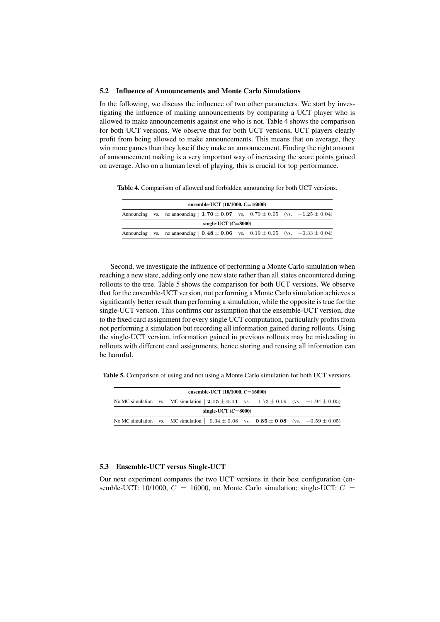#### 5.2 Influence of Announcements and Monte Carlo Simulations

In the following, we discuss the influence of two other parameters. We start by investigating the influence of making announcements by comparing a UCT player who is allowed to make announcements against one who is not. Table 4 shows the comparison for both UCT versions. We observe that for both UCT versions, UCT players clearly profit from being allowed to make announcements. This means that on average, they win more games than they lose if they make an announcement. Finding the right amount of announcement making is a very important way of increasing the score points gained on average. Also on a human level of playing, this is crucial for top performance.

Table 4. Comparison of allowed and forbidden announcing for both UCT versions.

| ensemble-UCT $(10/1000, C=16000)$ |  |                                                                                                            |  |  |  |  |  |  |
|-----------------------------------|--|------------------------------------------------------------------------------------------------------------|--|--|--|--|--|--|
|                                   |  | Announcing vs. no announcing $1.70 \pm 0.07$ vs. $0.79 \pm 0.05$ (vs. $-1.25 \pm 0.04$ )                   |  |  |  |  |  |  |
| single-UCT $(C=8000)$             |  |                                                                                                            |  |  |  |  |  |  |
|                                   |  | Announcing vs. no announcing $\vert 0.48 \pm 0.06 \vert$ vs. $0.19 \pm 0.05 \vert$ (vs. $-0.33 \pm 0.04$ ) |  |  |  |  |  |  |

Second, we investigate the influence of performing a Monte Carlo simulation when reaching a new state, adding only one new state rather than all states encountered during rollouts to the tree. Table 5 shows the comparison for both UCT versions. We observe that for the ensemble-UCT version, not performing a Monte Carlo simulation achieves a significantly better result than performing a simulation, while the opposite is true for the single-UCT version. This confirms our assumption that the ensemble-UCT version, due to the fixed card assignment for every single UCT computation, particularly profits from not performing a simulation but recording all information gained during rollouts. Using the single-UCT version, information gained in previous rollouts may be misleading in rollouts with different card assignments, hence storing and reusing all information can be harmful.

Table 5. Comparison of using and not using a Monte Carlo simulation for both UCT versions.

| ensemble-UCT $(10/1000, C=16000)$ |  |                                                                                                                                    |  |  |  |  |  |  |
|-----------------------------------|--|------------------------------------------------------------------------------------------------------------------------------------|--|--|--|--|--|--|
|                                   |  | No MC simulation vs. MC simulation $\vert 2.15 \pm 0.11 \vert$ vs. $\vert 1.73 \pm 0.09 \vert$ (vs. $\vert -1.94 \pm 0.05 \rangle$ |  |  |  |  |  |  |
| single-UCT $(C=8000)$             |  |                                                                                                                                    |  |  |  |  |  |  |
|                                   |  | No MC simulation vs. MC simulation $\vert 0.34 \pm 0.08 \vert$ vs. $0.85 \pm 0.08 \vert$ (vs. $-0.59 \pm 0.05$ )                   |  |  |  |  |  |  |

# 5.3 Ensemble-UCT versus Single-UCT

Our next experiment compares the two UCT versions in their best configuration (ensemble-UCT: 10/1000,  $C = 16000$ , no Monte Carlo simulation; single-UCT:  $C =$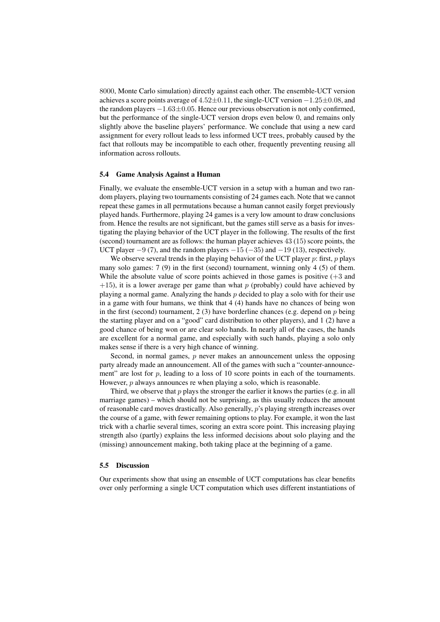8000, Monte Carlo simulation) directly against each other. The ensemble-UCT version achieves a score points average of  $4.52 \pm 0.11$ , the single-UCT version  $-1.25 \pm 0.08$ , and the random players  $-1.63\pm0.05$ . Hence our previous observation is not only confirmed, but the performance of the single-UCT version drops even below 0, and remains only slightly above the baseline players' performance. We conclude that using a new card assignment for every rollout leads to less informed UCT trees, probably caused by the fact that rollouts may be incompatible to each other, frequently preventing reusing all information across rollouts.

# 5.4 Game Analysis Against a Human

Finally, we evaluate the ensemble-UCT version in a setup with a human and two random players, playing two tournaments consisting of 24 games each. Note that we cannot repeat these games in all permutations because a human cannot easily forget previously played hands. Furthermore, playing 24 games is a very low amount to draw conclusions from. Hence the results are not significant, but the games still serve as a basis for investigating the playing behavior of the UCT player in the following. The results of the first (second) tournament are as follows: the human player achieves 43 (15) score points, the UCT player  $-9$  (7), and the random players  $-15$  ( $-35$ ) and  $-19$  (13), respectively.

We observe several trends in the playing behavior of the UCT player  $p$ : first,  $p$  plays many solo games: 7 (9) in the first (second) tournament, winning only 4 (5) of them. While the absolute value of score points achieved in those games is positive  $(+3 \text{ and }$  $+15$ ), it is a lower average per game than what p (probably) could have achieved by playing a normal game. Analyzing the hands  $p$  decided to play a solo with for their use in a game with four humans, we think that 4 (4) hands have no chances of being won in the first (second) tournament,  $2(3)$  have borderline chances (e.g. depend on p being the starting player and on a "good" card distribution to other players), and 1 (2) have a good chance of being won or are clear solo hands. In nearly all of the cases, the hands are excellent for a normal game, and especially with such hands, playing a solo only makes sense if there is a very high chance of winning.

Second, in normal games,  $p$  never makes an announcement unless the opposing party already made an announcement. All of the games with such a "counter-announcement" are lost for  $p$ , leading to a loss of 10 score points in each of the tournaments. However,  $p$  always announces re when playing a solo, which is reasonable.

Third, we observe that  $p$  plays the stronger the earlier it knows the parties (e.g. in all marriage games) – which should not be surprising, as this usually reduces the amount of reasonable card moves drastically. Also generally, p's playing strength increases over the course of a game, with fewer remaining options to play. For example, it won the last trick with a charlie several times, scoring an extra score point. This increasing playing strength also (partly) explains the less informed decisions about solo playing and the (missing) announcement making, both taking place at the beginning of a game.

#### 5.5 Discussion

Our experiments show that using an ensemble of UCT computations has clear benefits over only performing a single UCT computation which uses different instantiations of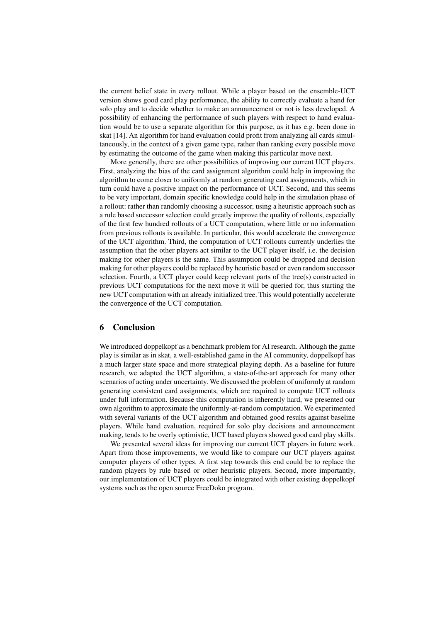the current belief state in every rollout. While a player based on the ensemble-UCT version shows good card play performance, the ability to correctly evaluate a hand for solo play and to decide whether to make an announcement or not is less developed. A possibility of enhancing the performance of such players with respect to hand evaluation would be to use a separate algorithm for this purpose, as it has e.g. been done in skat [14]. An algorithm for hand evaluation could profit from analyzing all cards simultaneously, in the context of a given game type, rather than ranking every possible move by estimating the outcome of the game when making this particular move next.

More generally, there are other possibilities of improving our current UCT players. First, analyzing the bias of the card assignment algorithm could help in improving the algorithm to come closer to uniformly at random generating card assignments, which in turn could have a positive impact on the performance of UCT. Second, and this seems to be very important, domain specific knowledge could help in the simulation phase of a rollout: rather than randomly choosing a successor, using a heuristic approach such as a rule based successor selection could greatly improve the quality of rollouts, especially of the first few hundred rollouts of a UCT computation, where little or no information from previous rollouts is available. In particular, this would accelerate the convergence of the UCT algorithm. Third, the computation of UCT rollouts currently underlies the assumption that the other players act similar to the UCT player itself, i.e. the decision making for other players is the same. This assumption could be dropped and decision making for other players could be replaced by heuristic based or even random successor selection. Fourth, a UCT player could keep relevant parts of the tree(s) constructed in previous UCT computations for the next move it will be queried for, thus starting the new UCT computation with an already initialized tree. This would potentially accelerate the convergence of the UCT computation.

# 6 Conclusion

We introduced doppelkopf as a benchmark problem for AI research. Although the game play is similar as in skat, a well-established game in the AI community, doppelkopf has a much larger state space and more strategical playing depth. As a baseline for future research, we adapted the UCT algorithm, a state-of-the-art approach for many other scenarios of acting under uncertainty. We discussed the problem of uniformly at random generating consistent card assignments, which are required to compute UCT rollouts under full information. Because this computation is inherently hard, we presented our own algorithm to approximate the uniformly-at-random computation. We experimented with several variants of the UCT algorithm and obtained good results against baseline players. While hand evaluation, required for solo play decisions and announcement making, tends to be overly optimistic, UCT based players showed good card play skills.

We presented several ideas for improving our current UCT players in future work. Apart from those improvements, we would like to compare our UCT players against computer players of other types. A first step towards this end could be to replace the random players by rule based or other heuristic players. Second, more importantly, our implementation of UCT players could be integrated with other existing doppelkopf systems such as the open source FreeDoko program.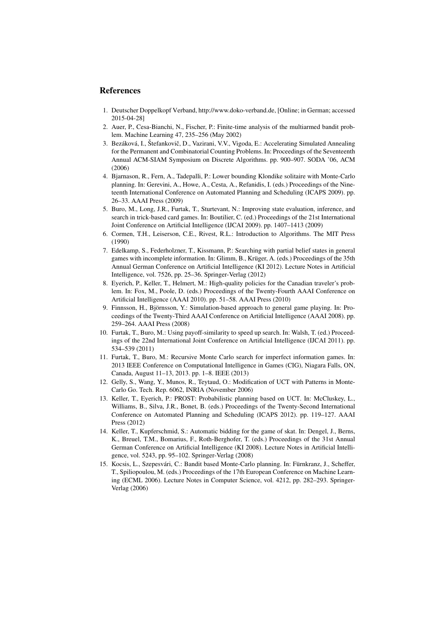# References

- 1. Deutscher Doppelkopf Verband, http://www.doko-verband.de, [Online; in German; accessed 2015-04-28]
- 2. Auer, P., Cesa-Bianchi, N., Fischer, P.: Finite-time analysis of the multiarmed bandit problem. Machine Learning 47, 235–256 (May 2002)
- 3. Bezáková, I., Štefankovič, D., Vazirani, V.V., Vigoda, E.: Accelerating Simulated Annealing for the Permanent and Combinatorial Counting Problems. In: Proceedings of the Seventeenth Annual ACM-SIAM Symposium on Discrete Algorithms. pp. 900–907. SODA '06, ACM (2006)
- 4. Bjarnason, R., Fern, A., Tadepalli, P.: Lower bounding Klondike solitaire with Monte-Carlo planning. In: Gerevini, A., Howe, A., Cesta, A., Refanidis, I. (eds.) Proceedings of the Nineteenth International Conference on Automated Planning and Scheduling (ICAPS 2009). pp. 26–33. AAAI Press (2009)
- 5. Buro, M., Long, J.R., Furtak, T., Sturtevant, N.: Improving state evaluation, inference, and search in trick-based card games. In: Boutilier, C. (ed.) Proceedings of the 21st International Joint Conference on Artificial Intelligence (IJCAI 2009). pp. 1407–1413 (2009)
- 6. Cormen, T.H., Leiserson, C.E., Rivest, R.L.: Introduction to Algorithms. The MIT Press (1990)
- 7. Edelkamp, S., Federholzner, T., Kissmann, P.: Searching with partial belief states in general games with incomplete information. In: Glimm, B., Krüger, A. (eds.) Proceedings of the 35th Annual German Conference on Artificial Intelligence (KI 2012). Lecture Notes in Artificial Intelligence, vol. 7526, pp. 25–36. Springer-Verlag (2012)
- 8. Eyerich, P., Keller, T., Helmert, M.: High-quality policies for the Canadian traveler's problem. In: Fox, M., Poole, D. (eds.) Proceedings of the Twenty-Fourth AAAI Conference on Artificial Intelligence (AAAI 2010). pp. 51–58. AAAI Press (2010)
- 9. Finnsson, H., Björnsson, Y.: Simulation-based approach to general game playing. In: Proceedings of the Twenty-Third AAAI Conference on Artificial Intelligence (AAAI 2008). pp. 259–264. AAAI Press (2008)
- 10. Furtak, T., Buro, M.: Using payoff-similarity to speed up search. In: Walsh, T. (ed.) Proceedings of the 22nd International Joint Conference on Artificial Intelligence (IJCAI 2011). pp. 534–539 (2011)
- 11. Furtak, T., Buro, M.: Recursive Monte Carlo search for imperfect information games. In: 2013 IEEE Conference on Computational Intelligence in Games (CIG), Niagara Falls, ON, Canada, August 11–13, 2013. pp. 1–8. IEEE (2013)
- 12. Gelly, S., Wang, Y., Munos, R., Teytaud, O.: Modification of UCT with Patterns in Monte-Carlo Go. Tech. Rep. 6062, INRIA (November 2006)
- 13. Keller, T., Eyerich, P.: PROST: Probabilistic planning based on UCT. In: McCluskey, L., Williams, B., Silva, J.R., Bonet, B. (eds.) Proceedings of the Twenty-Second International Conference on Automated Planning and Scheduling (ICAPS 2012). pp. 119–127. AAAI Press (2012)
- 14. Keller, T., Kupferschmid, S.: Automatic bidding for the game of skat. In: Dengel, J., Berns, K., Breuel, T.M., Bomarius, F., Roth-Berghofer, T. (eds.) Proceedings of the 31st Annual German Conference on Artificial Intelligence (KI 2008). Lecture Notes in Artificial Intelligence, vol. 5243, pp. 95–102. Springer-Verlag (2008)
- 15. Kocsis, L., Szepesvári, C.: Bandit based Monte-Carlo planning. In: Fürnkranz, J., Scheffer, T., Spiliopoulou, M. (eds.) Proceedings of the 17th European Conference on Machine Learning (ECML 2006). Lecture Notes in Computer Science, vol. 4212, pp. 282–293. Springer-Verlag (2006)